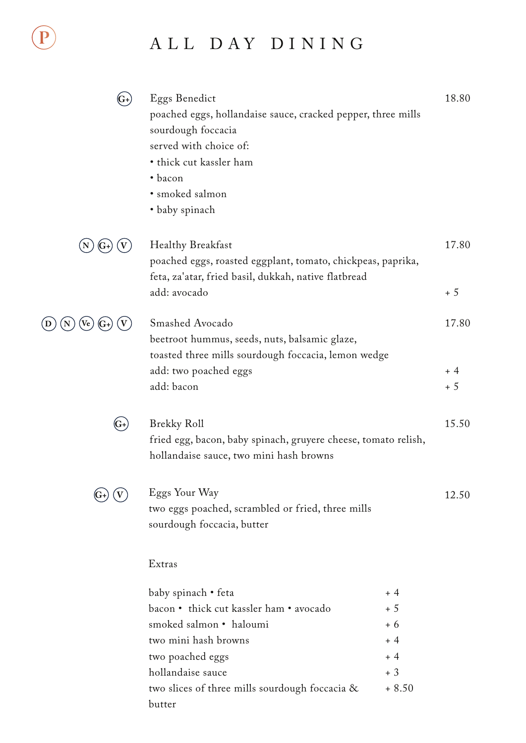## ALL DAY DINING

|        | Eggs Benedict<br>poached eggs, hollandaise sauce, cracked pepper, three mills<br>sourdough foccacia<br>served with choice of:<br>• thick cut kassler ham<br>· bacon<br>· smoked salmon<br>· baby spinach |         | 18.80         |
|--------|----------------------------------------------------------------------------------------------------------------------------------------------------------------------------------------------------------|---------|---------------|
|        | <b>Healthy Breakfast</b><br>poached eggs, roasted eggplant, tomato, chickpeas, paprika,<br>feta, za'atar, fried basil, dukkah, native flatbread<br>add: avocado                                          |         | 17.80<br>$+5$ |
| Ve     | Smashed Avocado<br>beetroot hummus, seeds, nuts, balsamic glaze,<br>toasted three mills sourdough foccacia, lemon wedge                                                                                  |         | 17.80         |
|        | add: two poached eggs<br>add: bacon                                                                                                                                                                      |         | $+4$<br>$+5$  |
| $(G+)$ | <b>Brekky Roll</b><br>fried egg, bacon, baby spinach, gruyere cheese, tomato relish,<br>hollandaise sauce, two mini hash browns                                                                          |         | 15.50         |
|        | Eggs Your Way<br>two eggs poached, scrambled or fried, three mills<br>sourdough foccacia, butter                                                                                                         |         | 12.50         |
|        | Extras                                                                                                                                                                                                   |         |               |
|        | baby spinach • feta                                                                                                                                                                                      | $+4$    |               |
|        | bacon • thick cut kassler ham • avocado                                                                                                                                                                  | $+5$    |               |
|        | smoked salmon · haloumi                                                                                                                                                                                  | $+6$    |               |
|        | two mini hash browns                                                                                                                                                                                     | $+4$    |               |
|        | two poached eggs                                                                                                                                                                                         | $+4$    |               |
|        | hollandaise sauce                                                                                                                                                                                        | $+3$    |               |
|        | two slices of three mills sourdough foccacia &<br>butter                                                                                                                                                 | $+8.50$ |               |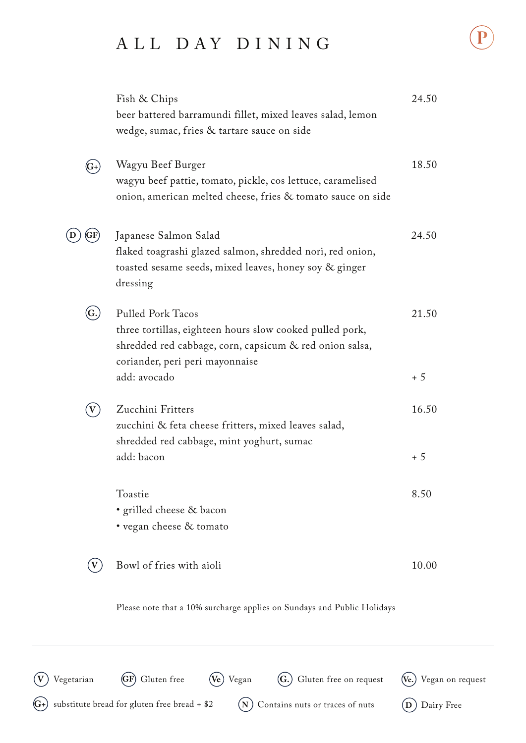## ALL DAY DINING

| Vegetarian                | Gluten free<br>Gluten free on request<br>Vegan                                                                                                                                     | Vegan |
|---------------------------|------------------------------------------------------------------------------------------------------------------------------------------------------------------------------------|-------|
|                           | Please note that a 10% surcharge applies on Sundays and Public Holidays                                                                                                            |       |
|                           | Bowl of fries with aioli                                                                                                                                                           | 10.00 |
|                           | • grilled cheese & bacon<br>• vegan cheese & tomato                                                                                                                                |       |
|                           | Toastie                                                                                                                                                                            | 8.50  |
|                           | add: bacon                                                                                                                                                                         | $+5$  |
|                           | Zucchini Fritters<br>zucchini & feta cheese fritters, mixed leaves salad,<br>shredded red cabbage, mint yoghurt, sumac                                                             | 16.50 |
|                           | add: avocado                                                                                                                                                                       | $+5$  |
| $\left( {\rm G.} \right)$ | <b>Pulled Pork Tacos</b><br>three tortillas, eighteen hours slow cooked pulled pork,<br>shredded red cabbage, corn, capsicum & red onion salsa,<br>coriander, peri peri mayonnaise | 21.50 |
|                           | Japanese Salmon Salad<br>flaked toagrashi glazed salmon, shredded nori, red onion,<br>toasted sesame seeds, mixed leaves, honey soy & ginger<br>dressing                           | 24.50 |
| (G+                       | Wagyu Beef Burger<br>wagyu beef pattie, tomato, pickle, cos lettuce, caramelised<br>onion, american melted cheese, fries & tomato sauce on side                                    | 18.50 |
|                           | Fish & Chips<br>beer battered barramundi fillet, mixed leaves salad, lemon<br>wedge, sumac, fries & tartare sauce on side                                                          | 24.50 |

**G+** substitute bread for gluten free bread + \$2

**N** Contains nuts or traces of nuts **D** Dairy Free

on request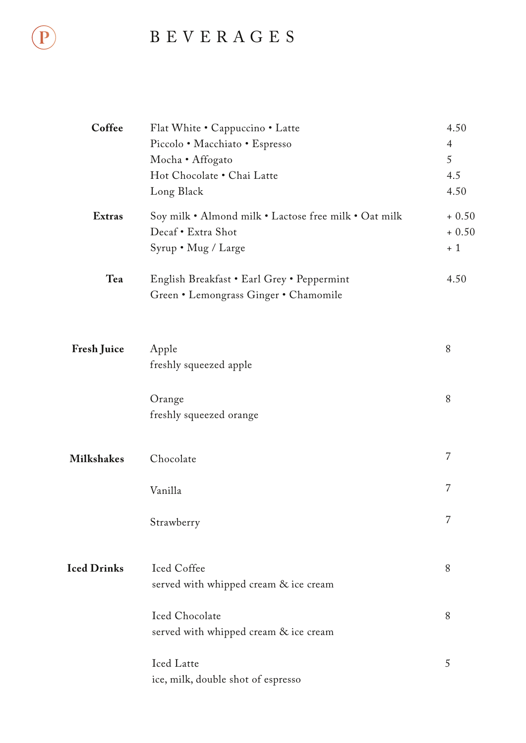## BEVERAGES

| Coffee             | Flat White • Cappuccino • Latte                       | 4.50<br>$\overline{4}$ |
|--------------------|-------------------------------------------------------|------------------------|
|                    | Piccolo • Macchiato • Espresso<br>Mocha · Affogato    | 5                      |
|                    | Hot Chocolate . Chai Latte                            | 4.5                    |
|                    | Long Black                                            | 4.50                   |
|                    |                                                       |                        |
| <b>Extras</b>      | Soy milk • Almond milk • Lactose free milk • Oat milk | $+0.50$                |
|                    | Decaf • Extra Shot                                    | $+0.50$                |
|                    | Syrup • Mug / Large                                   | $+1$                   |
| Tea                | English Breakfast • Earl Grey • Peppermint            | 4.50                   |
|                    | Green . Lemongrass Ginger . Chamomile                 |                        |
|                    |                                                       |                        |
|                    |                                                       |                        |
| <b>Fresh Juice</b> | Apple                                                 | 8                      |
|                    | freshly squeezed apple                                |                        |
|                    |                                                       |                        |
|                    | Orange                                                | 8                      |
|                    | freshly squeezed orange                               |                        |
|                    |                                                       |                        |
| <b>Milkshakes</b>  | Chocolate                                             | $\overline{7}$         |
|                    |                                                       |                        |
|                    | Vanilla                                               | $\overline{7}$         |
|                    |                                                       | 7                      |
|                    | Strawberry                                            |                        |
|                    |                                                       |                        |
| <b>Iced Drinks</b> | Iced Coffee                                           | 8                      |
|                    | served with whipped cream & ice cream                 |                        |
|                    | Iced Chocolate                                        | 8                      |
|                    | served with whipped cream & ice cream                 |                        |
|                    |                                                       |                        |
|                    | Iced Latte                                            | 5                      |
|                    | ice, milk, double shot of espresso                    |                        |